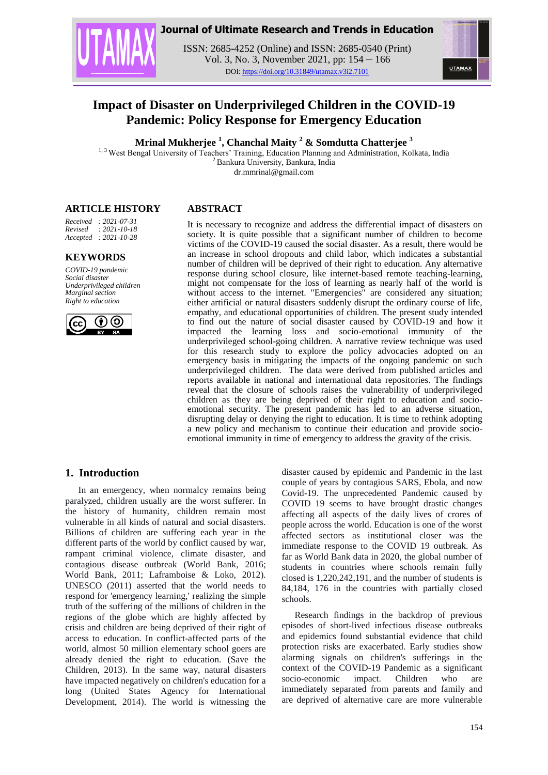

## **Journal of Ultimate Research and Trends in Education**

ISSN: 2685-4252 (Online) and ISSN: 2685-0540 (Print) Vol. 3, No. 3, November 2021, pp: 154 – 166 DOI: https://doi.org/10.31849/utamax.v3i2.7101



# **Impact of Disaster on Underprivileged Children in the COVID-19 Pandemic: Policy Response for Emergency Education**

**Mrinal Mukherjee <sup>1</sup> , Chanchal Maity <sup>2</sup> & Somdutta Chatterjee <sup>3</sup>**

<sup>1, 3</sup> West Bengal University of Teachers' Training, Education Planning and Administration, Kolkata, India <sup>2</sup> Bankura University, Bankura, India

dr.mmrinal@gmail.com

#### **ARTICLE HISTORY**

*Received : 2021-07-31 Revised : 2021-10-18 Accepted : 2021-10-28*

#### **KEYWORDS**

*COVID-19 pandemic Social disaster Underprivileged children Marginal section Right to education* 



### **ABSTRACT**

It is necessary to recognize and address the differential impact of disasters on society. It is quite possible that a significant number of children to become victims of the COVID-19 caused the social disaster. As a result, there would be an increase in school dropouts and child labor, which indicates a substantial number of children will be deprived of their right to education. Any alternative response during school closure, like internet-based remote teaching-learning, might not compensate for the loss of learning as nearly half of the world is without access to the internet. "Emergencies" are considered any situation; either artificial or natural disasters suddenly disrupt the ordinary course of life, empathy, and educational opportunities of children. The present study intended to find out the nature of social disaster caused by COVID-19 and how it impacted the learning loss and socio-emotional immunity of the underprivileged school-going children. A narrative review technique was used for this research study to explore the policy advocacies adopted on an emergency basis in mitigating the impacts of the ongoing pandemic on such underprivileged children. The data were derived from published articles and reports available in national and international data repositories. The findings reveal that the closure of schools raises the vulnerability of underprivileged children as they are being deprived of their right to education and socioemotional security. The present pandemic has led to an adverse situation, disrupting delay or denying the right to education. It is time to rethink adopting a new policy and mechanism to continue their education and provide socioemotional immunity in time of emergency to address the gravity of the crisis.

### **1. Introduction**

In an emergency, when normalcy remains being paralyzed, children usually are the worst sufferer. In the history of humanity, children remain most vulnerable in all kinds of natural and social disasters. Billions of children are suffering each year in the different parts of the world by conflict caused by war, rampant criminal violence, climate disaster, and contagious disease outbreak (World Bank, 2016; World Bank, 2011; Laframboise & Loko, 2012). UNESCO (2011) asserted that the world needs to respond for 'emergency learning,' realizing the simple truth of the suffering of the millions of children in the regions of the globe which are highly affected by crisis and children are being deprived of their right of access to education. In conflict-affected parts of the world, almost 50 million elementary school goers are already denied the right to education. (Save the Children, 2013). In the same way, natural disasters have impacted negatively on children's education for a long (United States Agency for International Development, 2014). The world is witnessing the disaster caused by epidemic and Pandemic in the last couple of years by contagious SARS, Ebola, and now Covid-19. The unprecedented Pandemic caused by COVID 19 seems to have brought drastic changes affecting all aspects of the daily lives of crores of people across the world. Education is one of the worst affected sectors as institutional closer was the immediate response to the COVID 19 outbreak. As far as World Bank data in 2020, the global number of students in countries where schools remain fully closed is 1,220,242,191, and the number of students is 84,184, 176 in the countries with partially closed schools.

Research findings in the backdrop of previous episodes of short-lived infectious disease outbreaks and epidemics found substantial evidence that child protection risks are exacerbated. Early studies show alarming signals on children's sufferings in the context of the COVID-19 Pandemic as a significant socio-economic impact. Children who are immediately separated from parents and family and are deprived of alternative care are more vulnerable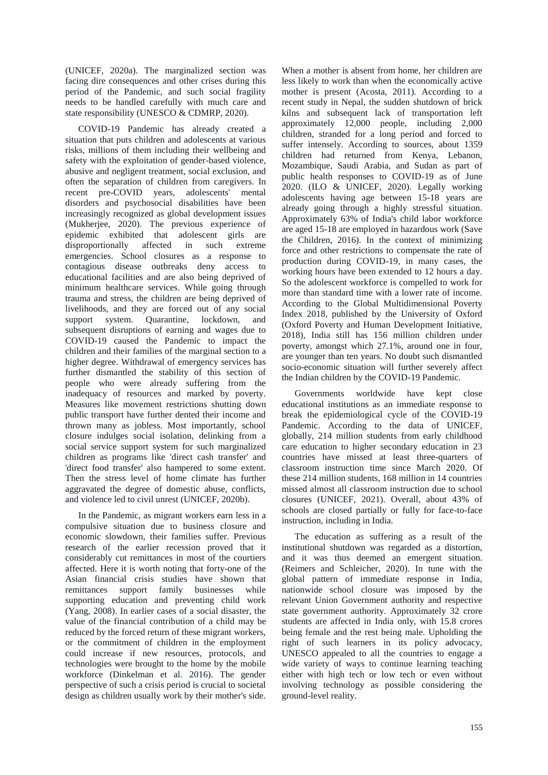(UNICEF, 2020a). The marginalized section was facing dire consequences and other crises during this period of the Pandemic, and such social fragility needs to be handled carefully with much care and state responsibility (UNESCO & CDMRP, 2020).

COVID-19 Pandemic has already created a situation that puts children and adolescents at various risks, millions of them including their wellbeing and safety with the exploitation of gender-based violence, abusive and negligent treatment, social exclusion, and often the separation of children from caregivers. In recent pre-COVID years, adolescents' mental disorders and psychosocial disabilities have been increasingly recognized as global development issues (Mukherjee, 2020). The previous experience of epidemic exhibited that adolescent girls are disproportionally affected in such extreme emergencies. School closures as a response to contagious disease outbreaks deny access to educational facilities and are also being deprived of minimum healthcare services. While going through trauma and stress, the children are being deprived of livelihoods, and they are forced out of any social support system. Quarantine, lockdown, and subsequent disruptions of earning and wages due to COVID-19 caused the Pandemic to impact the children and their families of the marginal section to a higher degree. Withdrawal of emergency services has further dismantled the stability of this section of people who were already suffering from the inadequacy of resources and marked by poverty. Measures like movement restrictions shutting down public transport have further dented their income and thrown many as jobless. Most importantly, school closure indulges social isolation, delinking from a social service support system for such marginalized children as programs like 'direct cash transfer' and 'direct food transfer' also hampered to some extent. Then the stress level of home climate has further aggravated the degree of domestic abuse, conflicts, and violence led to civil unrest (UNICEF, 2020b).

In the Pandemic, as migrant workers earn less in a compulsive situation due to business closure and economic slowdown, their families suffer. Previous research of the earlier recession proved that it considerably cut remittances in most of the courtiers affected. Here it is worth noting that forty-one of the Asian financial crisis studies have shown that remittances support family businesses while supporting education and preventing child work (Yang, 2008). In earlier cases of a social disaster, the value of the financial contribution of a child may be reduced by the forced return of these migrant workers, or the commitment of children in the employment could increase if new resources, protocols, and technologies were brought to the home by the mobile workforce (Dinkelman et al. 2016). The gender perspective of such a crisis period is crucial to societal design as children usually work by their mother's side.

When a mother is absent from home, her children are less likely to work than when the economically active mother is present (Acosta, 2011). According to a recent study in Nepal, the sudden shutdown of brick kilns and subsequent lack of transportation left approximately 12,000 people, including 2,000 children, stranded for a long period and forced to suffer intensely. According to sources, about 1359 children had returned from Kenya, Lebanon, Mozambique, Saudi Arabia, and Sudan as part of public health responses to COVID-19 as of June 2020. (ILO & UNICEF, 2020). Legally working adolescents having age between 15-18 years are already going through a highly stressful situation. Approximately 63% of India's child labor workforce are aged 15-18 are employed in hazardous work (Save the Children, 2016). In the context of minimizing force and other restrictions to compensate the rate of production during COVID-19, in many cases, the working hours have been extended to 12 hours a day. So the adolescent workforce is compelled to work for more than standard time with a lower rate of income. According to the Global Multidimensional Poverty Index 2018, published by the University of Oxford (Oxford Poverty and Human Development Initiative, 2018), India still has 156 million children under poverty, amongst which 27.1%, around one in four, are younger than ten years. No doubt such dismantled socio-economic situation will further severely affect the Indian children by the COVID-19 Pandemic.

Governments worldwide have kept close educational institutions as an immediate response to break the epidemiological cycle of the COVID-19 Pandemic. According to the data of UNICEF, globally, 214 million students from early childhood care education to higher secondary education in 23 countries have missed at least three-quarters of classroom instruction time since March 2020. Of these 214 million students, 168 million in 14 countries missed almost all classroom instruction due to school closures (UNICEF, 2021). Overall, about 43% of schools are closed partially or fully for face-to-face instruction, including in India.

The education as suffering as a result of the institutional shutdown was regarded as a distortion, and it was thus deemed an emergent situation. (Reimers and Schleicher, 2020). In tune with the global pattern of immediate response in India, nationwide school closure was imposed by the relevant Union Government authority and respective state government authority. Approximately 32 crore students are affected in India only, with 15.8 crores being female and the rest being male. Upholding the right of such learners in its policy advocacy, UNESCO appealed to all the countries to engage a wide variety of ways to continue learning teaching either with high tech or low tech or even without involving technology as possible considering the ground-level reality.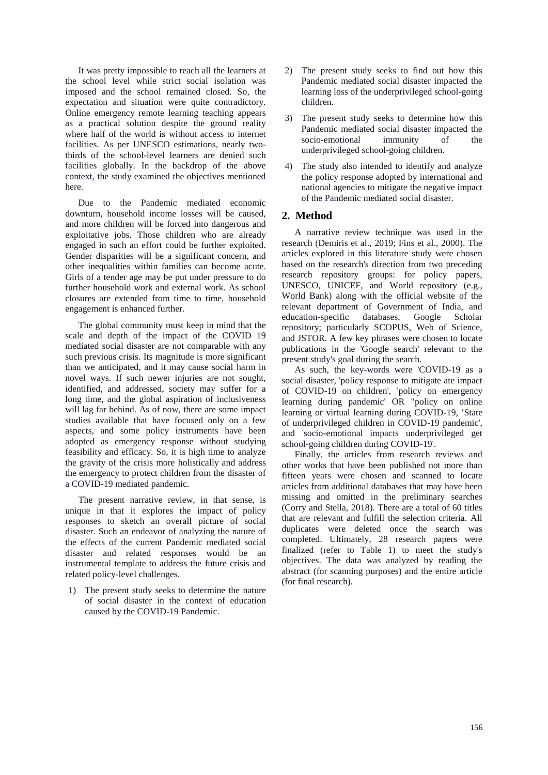It was pretty impossible to reach all the learners at the school level while strict social isolation was imposed and the school remained closed. So, the expectation and situation were quite contradictory. Online emergency remote learning teaching appears as a practical solution despite the ground reality where half of the world is without access to internet facilities. As per UNESCO estimations, nearly twothirds of the school-level learners are denied such facilities globally. In the backdrop of the above context, the study examined the objectives mentioned here.

Due to the Pandemic mediated economic downturn, household income losses will be caused, and more children will be forced into dangerous and exploitative jobs. Those children who are already engaged in such an effort could be further exploited. Gender disparities will be a significant concern, and other inequalities within families can become acute. Girls of a tender age may be put under pressure to do further household work and external work. As school closures are extended from time to time, household engagement is enhanced further.

The global community must keep in mind that the scale and depth of the impact of the COVID 19 mediated social disaster are not comparable with any such previous crisis. Its magnitude is more significant than we anticipated, and it may cause social harm in novel ways. If such newer injuries are not sought, identified, and addressed, society may suffer for a long time, and the global aspiration of inclusiveness will lag far behind. As of now, there are some impact studies available that have focused only on a few aspects, and some policy instruments have been adopted as emergency response without studying feasibility and efficacy. So, it is high time to analyze the gravity of the crisis more holistically and address the emergency to protect children from the disaster of a COVID-19 mediated pandemic.

The present narrative review, in that sense, is unique in that it explores the impact of policy responses to sketch an overall picture of social disaster. Such an endeavor of analyzing the nature of the effects of the current Pandemic mediated social disaster and related responses would be an instrumental template to address the future crisis and related policy-level challenges.

1) The present study seeks to determine the nature of social disaster in the context of education caused by the COVID-19 Pandemic.

- 2) The present study seeks to find out how this Pandemic mediated social disaster impacted the learning loss of the underprivileged school-going children.
- 3) The present study seeks to determine how this Pandemic mediated social disaster impacted the socio-emotional immunity of the underprivileged school-going children.
- 4) The study also intended to identify and analyze the policy response adopted by international and national agencies to mitigate the negative impact of the Pandemic mediated social disaster.

# **2. Method**

A narrative review technique was used in the research (Demiris et al., 2019; Fins et al., 2000). The articles explored in this literature study were chosen based on the research's direction from two preceding research repository groups: for policy papers, UNESCO, UNICEF, and World repository (e.g., World Bank) along with the official website of the relevant department of Government of India, and education-specific databases, Google Scholar repository; particularly SCOPUS, Web of Science, and JSTOR. A few key phrases were chosen to locate publications in the 'Google search' relevant to the present study's goal during the search.

As such, the key-words were 'COVID-19 as a social disaster, 'policy response to mitigate ate impact of COVID-19 on children', 'policy on emergency learning during pandemic' OR "policy on online learning or virtual learning during COVID-19, **'**State of underprivileged children in COVID-19 pandemic', and 'socio-emotional impacts underprivileged get school-going children during COVID-19'.

Finally, the articles from research reviews and other works that have been published not more than fifteen years were chosen and scanned to locate articles from additional databases that may have been missing and omitted in the preliminary searches (Corry and Stella, 2018). There are a total of 60 titles that are relevant and fulfill the selection criteria. All duplicates were deleted once the search was completed. Ultimately, 28 research papers were finalized (refer to Table 1) to meet the study's objectives. The data was analyzed by reading the abstract (for scanning purposes) and the entire article (for final research).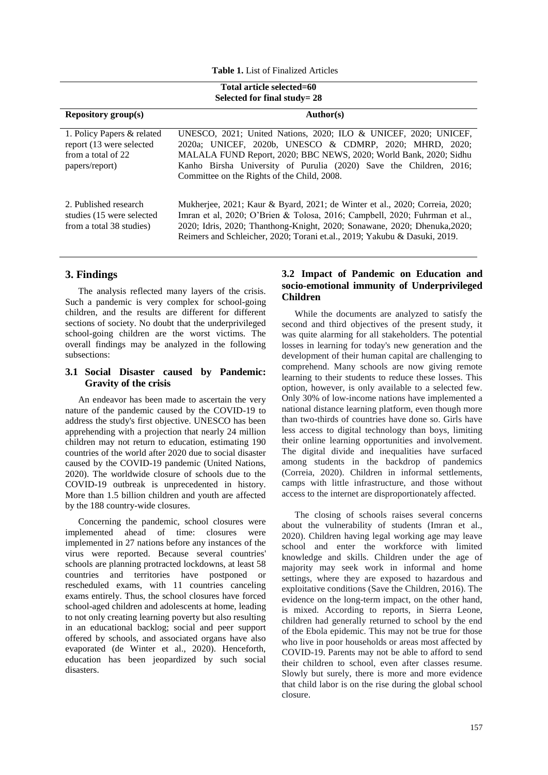**Table 1.** List of Finalized Articles

| Total article selected=60<br>Selected for final study= 28                                      |                                                                                                                                                                                                                                                                                                                      |  |  |  |  |  |  |
|------------------------------------------------------------------------------------------------|----------------------------------------------------------------------------------------------------------------------------------------------------------------------------------------------------------------------------------------------------------------------------------------------------------------------|--|--|--|--|--|--|
| <b>Repository group(s)</b>                                                                     | Author(s)                                                                                                                                                                                                                                                                                                            |  |  |  |  |  |  |
| 1. Policy Papers & related<br>report (13 were selected<br>from a total of 22<br>papers/report) | UNESCO, 2021; United Nations, 2020; ILO & UNICEF, 2020; UNICEF,<br>2020a; UNICEF, 2020b, UNESCO & CDMRP, 2020; MHRD, 2020;<br>MALALA FUND Report, 2020; BBC NEWS, 2020; World Bank, 2020; Sidhu<br>Kanho Birsha University of Purulia (2020) Save the Children, 2016;<br>Committee on the Rights of the Child, 2008. |  |  |  |  |  |  |
| 2. Published research<br>studies (15 were selected)<br>from a total 38 studies)                | Mukherjee, 2021; Kaur & Byard, 2021; de Winter et al., 2020; Correia, 2020;<br>Imran et al, 2020; O'Brien & Tolosa, 2016; Campbell, 2020; Fuhrman et al.,<br>2020; Idris, 2020; Thanthong-Knight, 2020; Sonawane, 2020; Dhenuka, 2020;<br>Reimers and Schleicher, 2020; Torani et.al., 2019; Yakubu & Dasuki, 2019.  |  |  |  |  |  |  |

#### **3. Findings**

The analysis reflected many layers of the crisis. Such a pandemic is very complex for school-going children, and the results are different for different sections of society. No doubt that the underprivileged school-going children are the worst victims. The overall findings may be analyzed in the following subsections:

#### **3.1 Social Disaster caused by Pandemic: Gravity of the crisis**

An endeavor has been made to ascertain the very nature of the pandemic caused by the COVID-19 to address the study's first objective. UNESCO has been apprehending with a projection that nearly 24 million children may not return to education, estimating 190 countries of the world after 2020 due to social disaster caused by the COVID-19 pandemic (United Nations, 2020). The worldwide closure of schools due to the COVID-19 outbreak is unprecedented in history. More than 1.5 billion children and youth are affected by the 188 country-wide closures.

Concerning the pandemic, school closures were implemented ahead of time: closures were implemented in 27 nations before any instances of the virus were reported. Because several countries' schools are planning protracted lockdowns, at least 58 countries and territories have postponed or rescheduled exams, with 11 countries canceling exams entirely. Thus, the school closures have forced school-aged children and adolescents at home, leading to not only creating learning poverty but also resulting in an educational backlog; social and peer support offered by schools, and associated organs have also evaporated (de Winter et al., 2020). Henceforth, education has been jeopardized by such social disasters.

### **3.2 Impact of Pandemic on Education and socio-emotional immunity of Underprivileged Children**

While the documents are analyzed to satisfy the second and third objectives of the present study, it was quite alarming for all stakeholders. The potential losses in learning for today's new generation and the development of their human capital are challenging to comprehend. Many schools are now giving remote learning to their students to reduce these losses. This option, however, is only available to a selected few. Only 30% of low-income nations have implemented a national distance learning platform, even though more than two-thirds of countries have done so. Girls have less access to digital technology than boys, limiting their online learning opportunities and involvement. The digital divide and inequalities have surfaced among students in the backdrop of pandemics (Correia, 2020). Children in informal settlements, camps with little infrastructure, and those without access to the internet are disproportionately affected.

The closing of schools raises several concerns about the vulnerability of students (Imran et al., 2020). Children having legal working age may leave school and enter the workforce with limited knowledge and skills. Children under the age of majority may seek work in informal and home settings, where they are exposed to hazardous and exploitative conditions (Save the Children, 2016). The evidence on the long-term impact, on the other hand, is mixed. According to reports, in Sierra Leone, children had generally returned to school by the end of the Ebola epidemic. This may not be true for those who live in poor households or areas most affected by COVID-19. Parents may not be able to afford to send their children to school, even after classes resume. Slowly but surely, there is more and more evidence that child labor is on the rise during the global school closure.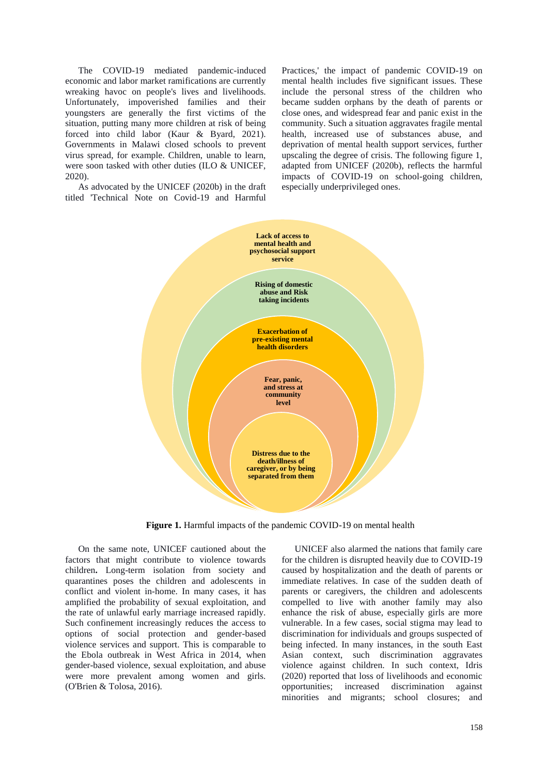The COVID-19 mediated pandemic-induced economic and labor market ramifications are currently wreaking havoc on people's lives and livelihoods. Unfortunately, impoverished families and their youngsters are generally the first victims of the situation, putting many more children at risk of being forced into child labor (Kaur & Byard, 2021). Governments in Malawi closed schools to prevent virus spread, for example. Children, unable to learn, were soon tasked with other duties (ILO & UNICEF, 2020).

As advocated by the UNICEF (2020b) in the draft titled 'Technical Note on Covid-19 and Harmful

Practices,' the impact of pandemic COVID-19 on mental health includes five significant issues. These include the personal stress of the children who became sudden orphans by the death of parents or close ones, and widespread fear and panic exist in the community. Such a situation aggravates fragile mental health, increased use of substances abuse, and deprivation of mental health support services, further upscaling the degree of crisis. The following figure 1, adapted from UNICEF (2020b), reflects the harmful impacts of COVID-19 on school-going children, especially underprivileged ones.



Figure 1. Harmful impacts of the pandemic COVID-19 on mental health

On the same note, UNICEF cautioned about the factors that might contribute to violence towards children**.** Long-term isolation from society and quarantines poses the children and adolescents in conflict and violent in-home. In many cases, it has amplified the probability of sexual exploitation, and the rate of unlawful early marriage increased rapidly. Such confinement increasingly reduces the access to options of social protection and gender-based violence services and support. This is comparable to the Ebola outbreak in West Africa in 2014, when gender-based violence, sexual exploitation, and abuse were more prevalent among women and girls. (O'Brien & Tolosa, 2016).

UNICEF also alarmed the nations that family care for the children is disrupted heavily due to COVID-19 caused by hospitalization and the death of parents or immediate relatives. In case of the sudden death of parents or caregivers, the children and adolescents compelled to live with another family may also enhance the risk of abuse, especially girls are more vulnerable. In a few cases, social stigma may lead to discrimination for individuals and groups suspected of being infected. In many instances, in the south East Asian context, such discrimination aggravates violence against children. In such context, Idris (2020) reported that loss of livelihoods and economic opportunities; increased discrimination against minorities and migrants; school closures; and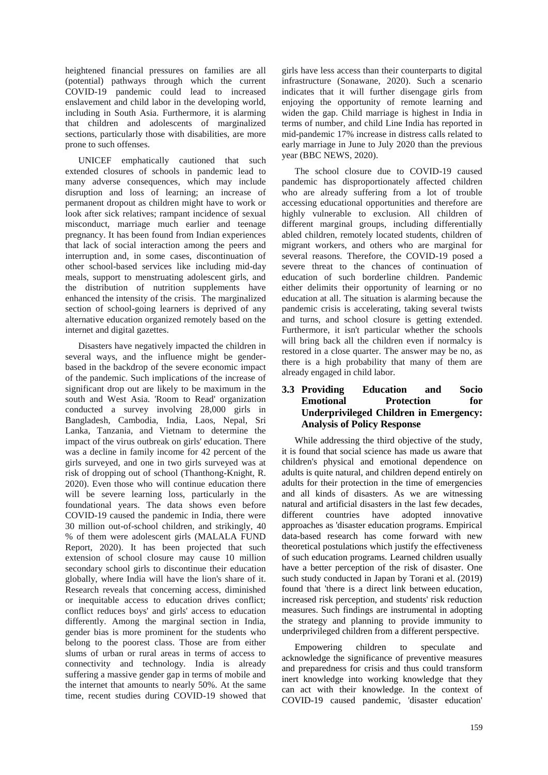heightened financial pressures on families are all (potential) pathways through which the current COVID-19 pandemic could lead to increased enslavement and child labor in the developing world, including in South Asia. Furthermore, it is alarming that children and adolescents of marginalized sections, particularly those with disabilities, are more prone to such offenses.

UNICEF emphatically cautioned that such extended closures of schools in pandemic lead to many adverse consequences, which may include disruption and loss of learning; an increase of permanent dropout as children might have to work or look after sick relatives; rampant incidence of sexual misconduct, marriage much earlier and teenage pregnancy. It has been found from Indian experiences that lack of social interaction among the peers and interruption and, in some cases, discontinuation of other school-based services like including mid-day meals, support to menstruating adolescent girls, and the distribution of nutrition supplements have enhanced the intensity of the crisis. The marginalized section of school-going learners is deprived of any alternative education organized remotely based on the internet and digital gazettes.

Disasters have negatively impacted the children in several ways, and the influence might be genderbased in the backdrop of the severe economic impact of the pandemic. Such implications of the increase of significant drop out are likely to be maximum in the south and West Asia. 'Room to Read' organization conducted a survey involving 28,000 girls in Bangladesh, Cambodia, India, Laos, Nepal, Sri Lanka, Tanzania, and Vietnam to determine the impact of the virus outbreak on girls' education. There was a decline in family income for 42 percent of the girls surveyed, and one in two girls surveyed was at risk of dropping out of school (Thanthong-Knight, R. 2020). Even those who will continue education there will be severe learning loss, particularly in the foundational years. The data shows even before COVID-19 caused the pandemic in India, there were 30 million out-of-school children, and strikingly, 40 % of them were adolescent girls (MALALA FUND Report, 2020). It has been projected that such extension of school closure may cause 10 million secondary school girls to discontinue their education globally, where India will have the lion's share of it. Research reveals that concerning access, diminished or inequitable access to education drives conflict; conflict reduces boys' and girls' access to education differently. Among the marginal section in India, gender bias is more prominent for the students who belong to the poorest class. Those are from either slums of urban or rural areas in terms of access to connectivity and technology. India is already suffering a massive gender gap in terms of mobile and the internet that amounts to nearly 50%. At the same time, recent studies during COVID-19 showed that girls have less access than their counterparts to digital infrastructure (Sonawane, 2020). Such a scenario indicates that it will further disengage girls from enjoying the opportunity of remote learning and widen the gap. Child marriage is highest in India in terms of number, and child Line India has reported in mid-pandemic 17% increase in distress calls related to early marriage in June to July 2020 than the previous year (BBC NEWS, 2020).

The school closure due to COVID-19 caused pandemic has disproportionately affected children who are already suffering from a lot of trouble accessing educational opportunities and therefore are highly vulnerable to exclusion. All children of different marginal groups, including differentially abled children, remotely located students, children of migrant workers, and others who are marginal for several reasons. Therefore, the COVID-19 posed a severe threat to the chances of continuation of education of such borderline children. Pandemic either delimits their opportunity of learning or no education at all. The situation is alarming because the pandemic crisis is accelerating, taking several twists and turns, and school closure is getting extended. Furthermore, it isn't particular whether the schools will bring back all the children even if normalcy is restored in a close quarter. The answer may be no, as there is a high probability that many of them are already engaged in child labor.

### **3.3 Providing Education and Socio Emotional Protection for Underprivileged Children in Emergency: Analysis of Policy Response**

While addressing the third objective of the study, it is found that social science has made us aware that children's physical and emotional dependence on adults is quite natural, and children depend entirely on adults for their protection in the time of emergencies and all kinds of disasters. As we are witnessing natural and artificial disasters in the last few decades, different countries have adopted innovative approaches as 'disaster education programs. Empirical data-based research has come forward with new theoretical postulations which justify the effectiveness of such education programs. Learned children usually have a better perception of the risk of disaster. One such study conducted in Japan by Torani et al. (2019) found that 'there is a direct link between education, increased risk perception, and students' risk reduction measures. Such findings are instrumental in adopting the strategy and planning to provide immunity to underprivileged children from a different perspective.

Empowering children to speculate and acknowledge the significance of preventive measures and preparedness for crisis and thus could transform inert knowledge into working knowledge that they can act with their knowledge. In the context of COVID-19 caused pandemic, 'disaster education'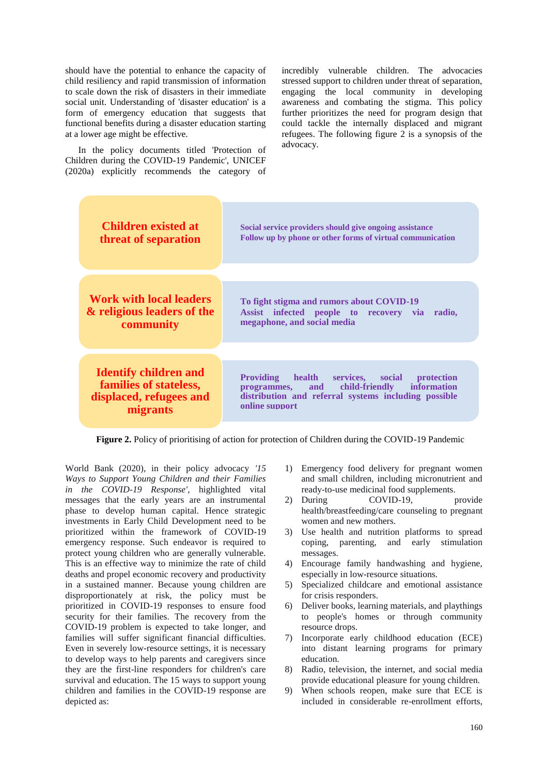should have the potential to enhance the capacity of child resiliency and rapid transmission of information to scale down the risk of disasters in their immediate social unit. Understanding of 'disaster education' is a form of emergency education that suggests that functional benefits during a disaster education starting at a lower age might be effective.

In the policy documents titled 'Protection of Children during the COVID-19 Pandemic', UNICEF (2020a) explicitly recommends the category of incredibly vulnerable children. The advocacies stressed support to children under threat of separation, engaging the local community in developing awareness and combating the stigma. This policy further prioritizes the need for program design that could tackle the internally displaced and migrant refugees. The following figure 2 is a synopsis of the advocacy.



**Figure 2.** Policy of prioritising of action for protection of Children during the COVID-19 Pandemic

World Bank (2020), in their policy advocacy *'15 Ways to Support Young Children and their Families in the COVID-19 Response'*, highlighted vital messages that the early years are an instrumental phase to develop human capital. Hence strategic investments in Early Child Development need to be prioritized within the framework of COVID-19 emergency response. Such endeavor is required to protect young children who are generally vulnerable. This is an effective way to minimize the rate of child deaths and propel economic recovery and productivity in a sustained manner. Because young children are disproportionately at risk, the policy must be prioritized in COVID-19 responses to ensure food security for their families. The recovery from the COVID-19 problem is expected to take longer, and families will suffer significant financial difficulties. Even in severely low-resource settings, it is necessary to develop ways to help parents and caregivers since they are the first-line responders for children's care survival and education. The 15 ways to support young children and families in the COVID-19 response are depicted as:

- 1) Emergency food delivery for pregnant women and small children, including micronutrient and ready-to-use medicinal food supplements.
- 2) During COVID-19, provide health/breastfeeding/care counseling to pregnant women and new mothers.
- 3) Use health and nutrition platforms to spread coping, parenting, and early stimulation messages.
- 4) Encourage family handwashing and hygiene, especially in low-resource situations.
- 5) Specialized childcare and emotional assistance for crisis responders.
- 6) Deliver books, learning materials, and playthings to people's homes or through community resource drops.
- 7) Incorporate early childhood education (ECE) into distant learning programs for primary education.
- 8) Radio, television, the internet, and social media provide educational pleasure for young children.
- 9) When schools reopen, make sure that ECE is included in considerable re-enrollment efforts,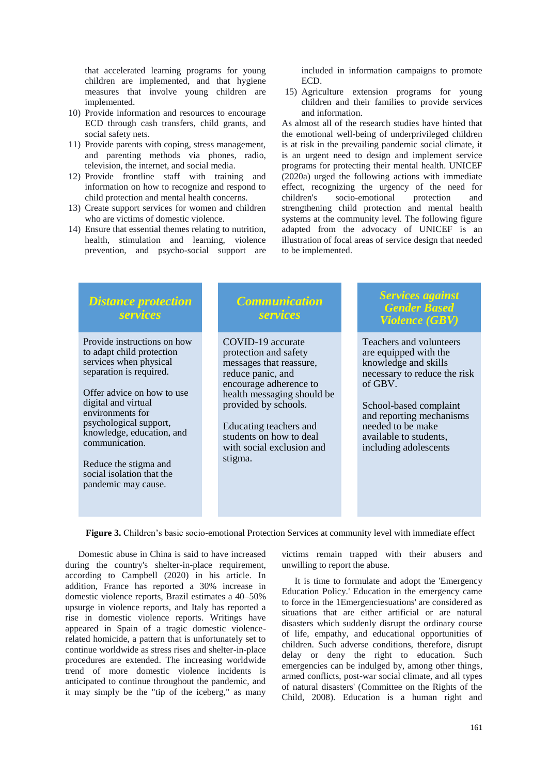that accelerated learning programs for young children are implemented, and that hygiene measures that involve young children are implemented.

- 10) Provide information and resources to encourage ECD through cash transfers, child grants, and social safety nets.
- 11) Provide parents with coping, stress management, and parenting methods via phones, radio, television, the internet, and social media.
- 12) Provide frontline staff with training and information on how to recognize and respond to child protection and mental health concerns.
- 13) Create support services for women and children who are victims of domestic violence.
- 14) Ensure that essential themes relating to nutrition, health, stimulation and learning, violence prevention, and psycho-social support are

included in information campaigns to promote ECD.

15) Agriculture extension programs for young children and their families to provide services and information.

As almost all of the research studies have hinted that the emotional well-being of underprivileged children is at risk in the prevailing pandemic social climate, it is an urgent need to design and implement service programs for protecting their mental health. UNICEF (2020a) urged the following actions with immediate effect, recognizing the urgency of the need for children's socio-emotional protection and children's socio-emotional protection and strengthening child protection and mental health systems at the community level. The following figure adapted from the advocacy of UNICEF is an illustration of focal areas of service design that needed to be implemented.

| Provide instructions on how<br>COVID-19 accurate<br>Teachers and volunteers<br>to adapt child protection<br>protection and safety<br>are equipped with the<br>services when physical<br>messages that reassure,<br>knowledge and skills<br>separation is required.<br>necessary to reduce the risk<br>reduce panic, and<br>encourage adherence to<br>of GBV.<br>Offer advice on how to use<br>health messaging should be<br>digital and virtual<br>provided by schools.<br>School-based complaint<br>environments for<br>and reporting mechanisms<br>psychological support,<br>needed to be make<br>Educating teachers and<br>knowledge, education, and<br>students on how to deal<br>available to students,<br>communication.<br>with social exclusion and<br>including adolescents<br>stigma.<br>Reduce the stigma and<br>social isolation that the<br>pandemic may cause. | <b>Distance protection</b><br>services | <b>Communication</b><br>services | <b>Services against</b><br><b>Gender Based</b><br><b>Violence (GBV)</b> |
|------------------------------------------------------------------------------------------------------------------------------------------------------------------------------------------------------------------------------------------------------------------------------------------------------------------------------------------------------------------------------------------------------------------------------------------------------------------------------------------------------------------------------------------------------------------------------------------------------------------------------------------------------------------------------------------------------------------------------------------------------------------------------------------------------------------------------------------------------------------------------|----------------------------------------|----------------------------------|-------------------------------------------------------------------------|
|                                                                                                                                                                                                                                                                                                                                                                                                                                                                                                                                                                                                                                                                                                                                                                                                                                                                              |                                        |                                  |                                                                         |

**Figure 3.** Children's basic socio-emotional Protection Services at community level with immediate effect

Domestic abuse in China is said to have increased during the country's shelter-in-place requirement, according to Campbell (2020) in his article. In addition, France has reported a 30% increase in domestic violence reports, Brazil estimates a 40–50% upsurge in violence reports, and Italy has reported a rise in domestic violence reports. Writings have appeared in Spain of a tragic domestic violencerelated homicide, a pattern that is unfortunately set to continue worldwide as stress rises and shelter-in-place procedures are extended. The increasing worldwide trend of more domestic violence incidents is anticipated to continue throughout the pandemic, and it may simply be the "tip of the iceberg," as many

victims remain trapped with their abusers and unwilling to report the abuse.

It is time to formulate and adopt the 'Emergency Education Policy.' Education in the emergency came to force in the 1Emergenciesuations' are considered as situations that are either artificial or are natural disasters which suddenly disrupt the ordinary course of life, empathy, and educational opportunities of children. Such adverse conditions, therefore, disrupt delay or deny the right to education. Such emergencies can be indulged by, among other things*,* armed conflicts, post-war social climate, and all types of natural disasters' (Committee on the Rights of the Child, 2008). Education is a human right and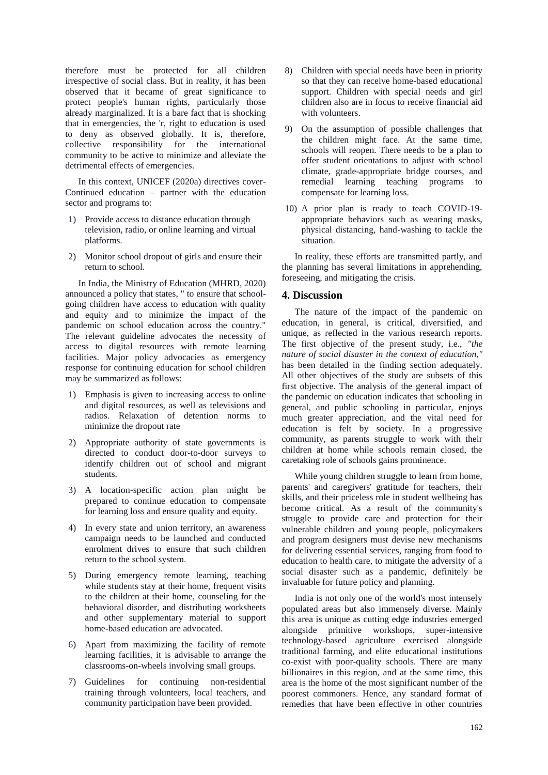therefore must be protected for all children irrespective of social class. But in reality, it has been observed that it became of great significance to protect people's human rights, particularly those already marginalized. It is a bare fact that is shocking that in emergencies, the 'r, right to education is used to deny as observed globally. It is, therefore, collective responsibility for the international community to be active to minimize and alleviate the detrimental effects of emergencies.

In this context, UNICEF (2020a) directives cover-Continued education – partner with the education sector and programs to:

- 1) Provide access to distance education through television, radio, or online learning and virtual platforms.
- 2) Monitor school dropout of girls and ensure their return to school.

In India, the Ministry of Education (MHRD, 2020) announced a policy that states, " to ensure that schoolgoing children have access to education with quality and equity and to minimize the impact of the pandemic on school education across the country." The relevant guideline advocates the necessity of access to digital resources with remote learning facilities. Major policy advocacies as emergency response for continuing education for school children may be summarized as follows:

- 1) Emphasis is given to increasing access to online and digital resources, as well as televisions and radios. Relaxation of detention norms to minimize the dropout rate
- 2) Appropriate authority of state governments is directed to conduct door-to-door surveys to identify children out of school and migrant students.
- 3) A location-specific action plan might be prepared to continue education to compensate for learning loss and ensure quality and equity.
- 4) In every state and union territory, an awareness campaign needs to be launched and conducted enrolment drives to ensure that such children return to the school system.
- 5) During emergency remote learning, teaching while students stay at their home, frequent visits to the children at their home, counseling for the behavioral disorder, and distributing worksheets and other supplementary material to support home-based education are advocated.
- 6) Apart from maximizing the facility of remote learning facilities, it is advisable to arrange the classrooms-on-wheels involving small groups.
- 7) Guidelines for continuing non-residential training through volunteers, local teachers, and community participation have been provided.
- 8) Children with special needs have been in priority so that they can receive home-based educational support. Children with special needs and girl children also are in focus to receive financial aid with volunteers.
- 9) On the assumption of possible challenges that the children might face. At the same time, schools will reopen. There needs to be a plan to offer student orientations to adjust with school climate, grade-appropriate bridge courses, and remedial learning teaching programs to compensate for learning loss.
- 10) A prior plan is ready to teach COVID-19 appropriate behaviors such as wearing masks, physical distancing, hand-washing to tackle the situation.

In reality, these efforts are transmitted partly, and the planning has several limitations in apprehending, foreseeing, and mitigating the crisis.

#### **4. Discussion**

The nature of the impact of the pandemic on education, in general, is critical, diversified, and unique, as reflected in the various research reports. The first objective of the present study, i.e., *"the nature of social disaster in the context of education,"*  has been detailed in the finding section adequately. All other objectives of the study are subsets of this first objective. The analysis of the general impact of the pandemic on education indicates that schooling in general, and public schooling in particular, enjoys much greater appreciation, and the vital need for education is felt by society. In a progressive community, as parents struggle to work with their children at home while schools remain closed, the caretaking role of schools gains prominence.

While young children struggle to learn from home, parents' and caregivers' gratitude for teachers, their skills, and their priceless role in student wellbeing has become critical. As a result of the community's struggle to provide care and protection for their vulnerable children and young people, policymakers and program designers must devise new mechanisms for delivering essential services, ranging from food to education to health care, to mitigate the adversity of a social disaster such as a pandemic, definitely be invaluable for future policy and planning.

India is not only one of the world's most intensely populated areas but also immensely diverse. Mainly this area is unique as cutting edge industries emerged alongside primitive workshops, super-intensive technology-based agriculture exercised alongside traditional farming, and elite educational institutions co-exist with poor-quality schools. There are many billionaires in this region, and at the same time, this area is the home of the most significant number of the poorest commoners. Hence, any standard format of remedies that have been effective in other countries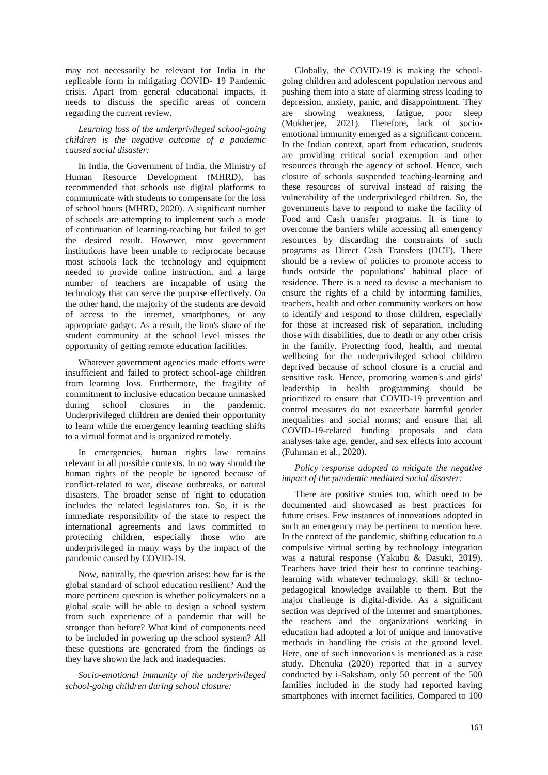may not necessarily be relevant for India in the replicable form in mitigating COVID- 19 Pandemic crisis. Apart from general educational impacts, it needs to discuss the specific areas of concern regarding the current review.

#### *Learning loss of the underprivileged school-going children is the negative outcome of a pandemic caused social disaster:*

In India, the Government of India, the Ministry of Human Resource Development (MHRD), has recommended that schools use digital platforms to communicate with students to compensate for the loss of school hours (MHRD, 2020). A significant number of schools are attempting to implement such a mode of continuation of learning-teaching but failed to get the desired result. However, most government institutions have been unable to reciprocate because most schools lack the technology and equipment needed to provide online instruction, and a large number of teachers are incapable of using the technology that can serve the purpose effectively. On the other hand, the majority of the students are devoid of access to the internet, smartphones, or any appropriate gadget. As a result, the lion's share of the student community at the school level misses the opportunity of getting remote education facilities.

Whatever government agencies made efforts were insufficient and failed to protect school-age children from learning loss. Furthermore, the fragility of commitment to inclusive education became unmasked during school closures in the pandemic. Underprivileged children are denied their opportunity to learn while the emergency learning teaching shifts to a virtual format and is organized remotely.

In emergencies, human rights law remains relevant in all possible contexts. In no way should the human rights of the people be ignored because of conflict-related to war, disease outbreaks, or natural disasters. The broader sense of 'right to education includes the related legislatures too. So, it is the immediate responsibility of the state to respect the international agreements and laws committed to protecting children, especially those who are underprivileged in many ways by the impact of the pandemic caused by COVID-19.

Now, naturally, the question arises: how far is the global standard of school education resilient? And the more pertinent question is whether policymakers on a global scale will be able to design a school system from such experience of a pandemic that will be stronger than before? What kind of components need to be included in powering up the school system? All these questions are generated from the findings as they have shown the lack and inadequacies.

*Socio-emotional immunity of the underprivileged school-going children during school closure:* 

Globally, the COVID-19 is making the schoolgoing children and adolescent population nervous and pushing them into a state of alarming stress leading to depression, anxiety, panic, and disappointment. They are showing weakness, fatigue, poor sleep (Mukherjee, 2021). Therefore, lack of socioemotional immunity emerged as a significant concern. In the Indian context, apart from education, students are providing critical social exemption and other resources through the agency of school. Hence, such closure of schools suspended teaching-learning and these resources of survival instead of raising the vulnerability of the underprivileged children. So, the governments have to respond to make the facility of Food and Cash transfer programs. It is time to overcome the barriers while accessing all emergency resources by discarding the constraints of such programs as Direct Cash Transfers (DCT). There should be a review of policies to promote access to funds outside the populations' habitual place of residence. There is a need to devise a mechanism to ensure the rights of a child by informing families, teachers, health and other community workers on how to identify and respond to those children, especially for those at increased risk of separation, including those with disabilities, due to death or any other crisis in the family. Protecting food, health, and mental wellbeing for the underprivileged school children deprived because of school closure is a crucial and sensitive task. Hence, promoting women's and girls' leadership in health programming should be prioritized to ensure that COVID-19 prevention and control measures do not exacerbate harmful gender inequalities and social norms; and ensure that all COVID-19-related funding proposals and data analyses take age, gender, and sex effects into account (Fuhrman et al., 2020).

#### *Policy response adopted to mitigate the negative impact of the pandemic mediated social disaster:*

There are positive stories too, which need to be documented and showcased as best practices for future crises. Few instances of innovations adopted in such an emergency may be pertinent to mention here. In the context of the pandemic, shifting education to a compulsive virtual setting by technology integration was a natural response (Yakubu & Dasuki, 2019). Teachers have tried their best to continue teachinglearning with whatever technology, skill & technopedagogical knowledge available to them. But the major challenge is digital-divide. As a significant section was deprived of the internet and smartphones, the teachers and the organizations working in education had adopted a lot of unique and innovative methods in handling the crisis at the ground level. Here, one of such innovations is mentioned as a case study. Dhenuka (2020) reported that in a survey conducted by i-Saksham, only 50 percent of the 500 families included in the study had reported having smartphones with internet facilities. Compared to 100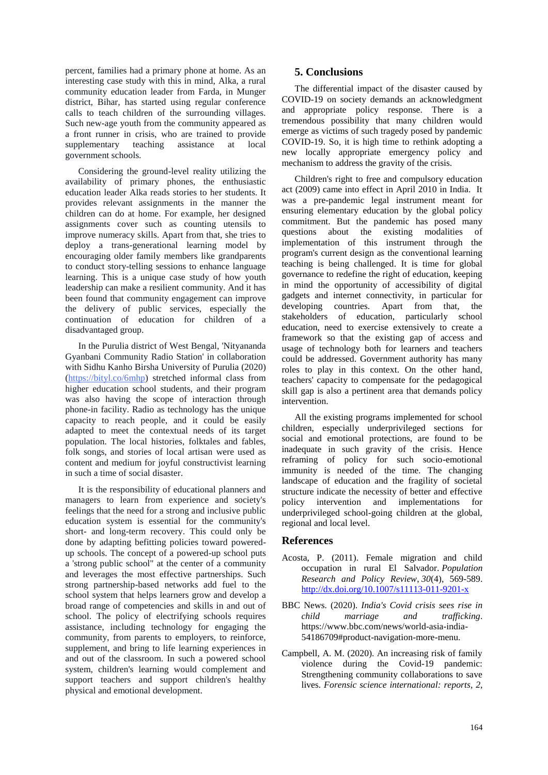percent, families had a primary phone at home. As an interesting case study with this in mind, Alka, a rural community education leader from Farda, in Munger district, Bihar, has started using regular conference calls to teach children of the surrounding villages. Such new-age youth from the community appeared as a front runner in crisis, who are trained to provide supplementary teaching assistance at local government schools.

Considering the ground-level reality utilizing the availability of primary phones, the enthusiastic education leader Alka reads stories to her students. It provides relevant assignments in the manner the children can do at home. For example, her designed assignments cover such as counting utensils to improve numeracy skills. Apart from that, she tries to deploy a trans-generational learning model by encouraging older family members like grandparents to conduct story-telling sessions to enhance language learning. This is a unique case study of how youth leadership can make a resilient community. And it has been found that community engagement can improve the delivery of public services, especially the continuation of education for children of a disadvantaged group.

In the Purulia district of West Bengal, 'Nityananda Gyanbani Community Radio Station' in collaboration with Sidhu Kanho Birsha University of Purulia (2020) [\(https://bityl.co/6mhp\)](https://bityl.co/6mhp) stretched informal class from higher education school students, and their program was also having the scope of interaction through phone-in facility. Radio as technology has the unique capacity to reach people, and it could be easily adapted to meet the contextual needs of its target population. The local histories, folktales and fables, folk songs, and stories of local artisan were used as content and medium for joyful constructivist learning in such a time of social disaster.

It is the responsibility of educational planners and managers to learn from experience and society's feelings that the need for a strong and inclusive public education system is essential for the community's short- and long-term recovery. This could only be done by adapting befitting policies toward poweredup schools. The concept of a powered-up school puts a 'strong public school" at the center of a community and leverages the most effective partnerships. Such strong partnership-based networks add fuel to the school system that helps learners grow and develop a broad range of competencies and skills in and out of school. The policy of electrifying schools requires assistance, including technology for engaging the community, from parents to employers, to reinforce, supplement, and bring to life learning experiences in and out of the classroom. In such a powered school system, children's learning would complement and support teachers and support children's healthy physical and emotional development.

# **5. Conclusions**

The differential impact of the disaster caused by COVID-19 on society demands an acknowledgment and appropriate policy response. There is a tremendous possibility that many children would emerge as victims of such tragedy posed by pandemic COVID-19. So, it is high time to rethink adopting a new locally appropriate emergency policy and mechanism to address the gravity of the crisis.

Children's right to free and compulsory education act (2009) came into effect in April 2010 in India. It was a pre-pandemic legal instrument meant for ensuring elementary education by the global policy commitment. But the pandemic has posed many questions about the existing modalities of implementation of this instrument through the program's current design as the conventional learning teaching is being challenged. It is time for global governance to redefine the right of education, keeping in mind the opportunity of accessibility of digital gadgets and internet connectivity, in particular for developing countries. Apart from that, the stakeholders of education, particularly school education, need to exercise extensively to create a framework so that the existing gap of access and usage of technology both for learners and teachers could be addressed. Government authority has many roles to play in this context. On the other hand, teachers' capacity to compensate for the pedagogical skill gap is also a pertinent area that demands policy intervention.

All the existing programs implemented for school children, especially underprivileged sections for social and emotional protections, are found to be inadequate in such gravity of the crisis. Hence reframing of policy for such socio-emotional immunity is needed of the time. The changing landscape of education and the fragility of societal structure indicate the necessity of better and effective policy intervention and implementations for underprivileged school-going children at the global, regional and local level.

### **References**

- Acosta, P. (2011). Female migration and child occupation in rural El Salvador. *Population Research and Policy Review*, *30*(4), 569-589. <http://dx.doi.org/10.1007/s11113-011-9201-x>
- BBC News. (2020). *India's Covid crisis sees rise in child marriage and trafficking*. https://www.bbc.com/news/world-asia-india-54186709#product-navigation-more-menu.
- Campbell, A. M. (2020). An increasing risk of family violence during the Covid-19 pandemic: Strengthening community collaborations to save lives. *Forensic science international: reports*, *2*,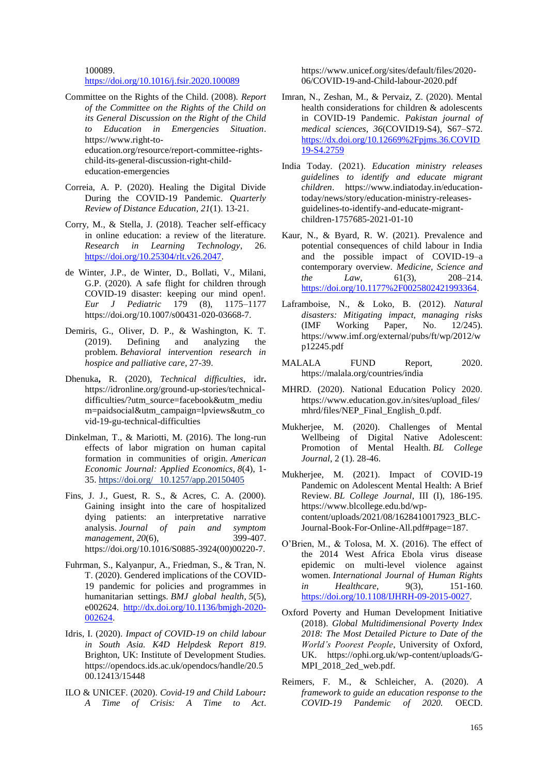100089.

#### <https://doi.org/10.1016/j.fsir.2020.100089>

- Committee on the Rights of the Child. (2008). *Report of the Committee on the Rights of the Child on its General Discussion on the Right of the Child to Education in Emergencies Situation*. https://www.right-toeducation.org/resource/report-committee-rightschild-its-general-discussion-right-childeducation-emergencies
- Correia, A. P. (2020). Healing the Digital Divide During the COVID-19 Pandemic. *Quarterly Review of Distance Education*, *21*(1). 13-21.
- Corry, M., & Stella, J. (2018). Teacher self-efficacy in online education: a review of the literature. *Research in Learning Technology*, 26. [https://doi.org/10.25304/rlt.v26.2047.](https://doi.org/10.25304/rlt.v26.2047)
- de Winter, J.P., de Winter, D., Bollati, V., Milani, G.P. (2020)*.* A safe flight for children through COVID-19 disaster: keeping our mind open!. *Eur J Pediatric* 179 (8), 1175–1177 [https://doi.org/10.1007/s00431-020-03668-7.](https://doi.org/10.1007/s00431-020-03668-7)
- Demiris, G., Oliver, D. P., & Washington, K. T. (2019). Defining and analyzing the problem. *Behavioral intervention research in hospice and palliative care*, 27-39.
- Dhenuka**,** R. (2020), *Technical difficulties*, idr**.**  [https://idronline.org/ground-up-stories/technical](https://idronline.org/ground-up-stories/technical-difficulties/?utm_source=facebook&utm_medium=paidsocial&utm_campaign=lpviews&utm_covid-19-gu-technical-difficulties)[difficulties/?utm\\_source=facebook&utm\\_mediu](https://idronline.org/ground-up-stories/technical-difficulties/?utm_source=facebook&utm_medium=paidsocial&utm_campaign=lpviews&utm_covid-19-gu-technical-difficulties) [m=paidsocial&utm\\_campaign=lpviews&utm\\_co](https://idronline.org/ground-up-stories/technical-difficulties/?utm_source=facebook&utm_medium=paidsocial&utm_campaign=lpviews&utm_covid-19-gu-technical-difficulties) [vid-19-gu-technical-difficulties](https://idronline.org/ground-up-stories/technical-difficulties/?utm_source=facebook&utm_medium=paidsocial&utm_campaign=lpviews&utm_covid-19-gu-technical-difficulties)
- Dinkelman, T., & Mariotti, M. (2016). The long-run effects of labor migration on human capital formation in communities of origin. *American Economic Journal: Applied Economics*, *8*(4), 1- 35. https://doi.org/ 10.1257/app.20150405
- Fins, J. J., Guest, R. S., & Acres, C. A. (2000). Gaining insight into the care of hospitalized dying patients: an interpretative narrative<br>analysis. Journal of pain and symptom analysis. Journal of pain and *management*, *20*(6), 399-407. [https://doi.org/10.1016/S0885-3924\(00\)00220-7.](https://doi.org/10.1016/S0885-3924(00)00220-7)
- Fuhrman, S., Kalyanpur, A., Friedman, S., & Tran, N. T. (2020). Gendered implications of the COVID-19 pandemic for policies and programmes in humanitarian settings. *BMJ global health*, *5*(5), e002624. [http://dx.doi.org/10.1136/bmjgh-2020-](http://dx.doi.org/10.1136/bmjgh-2020-002624) [002624.](http://dx.doi.org/10.1136/bmjgh-2020-002624)
- Idris, I. (2020). *Impact of COVID-19 on child labour in South Asia. K4D Helpdesk Report 819*. Brighton, UK: Institute of Development Studies. https://opendocs.ids.ac.uk/opendocs/handle/20.5 00.12413/15448
- ILO & UNICEF. (2020). *Covid-19 and Child Labour: A Time of Crisis: A Time to Act*.

[https://www.unicef.org/sites/default/files/2020-](https://www.unicef.org/sites/default/files/2020-06/COVID-19-and-Child-labour-2020.pdf) [06/COVID-19-and-Child-labour-2020.pdf](https://www.unicef.org/sites/default/files/2020-06/COVID-19-and-Child-labour-2020.pdf)

- Imran, N., Zeshan, M., & Pervaiz, Z. (2020). Mental health considerations for children & adolescents in COVID-19 Pandemic. *Pakistan journal of medical sciences*, *36*(COVID19-S4), S67–S72. [https://dx.doi.org/10.12669%2Fpjms.36.COVID](https://dx.doi.org/10.12669%2Fpjms.36.COVID19-S4.2759) [19-S4.2759](https://dx.doi.org/10.12669%2Fpjms.36.COVID19-S4.2759)
- India Today. (2021). *Education ministry releases guidelines to identify and educate migrant children*. https://www.indiatoday.in/educationtoday/news/story/education-ministry-releasesguidelines-to-identify-and-educate-migrantchildren-1757685-2021-01-10
- Kaur, N., & Byard, R. W. (2021). Prevalence and potential consequences of child labour in India and the possible impact of COVID-19–a contemporary overview. *Medicine, Science and the Law*, 61(3), 208–214. [https://doi.org/10.1177%2F0025802421993364.](https://doi.org/10.1177%2F0025802421993364)
- Laframboise, N., & Loko, B. (2012). *Natural disasters: Mitigating impact, managing risks*  (IMF Working Paper, No. 12/245). [https://www.imf.org/external/p](https://www.imf.org/external/)ubs/ft/wp/2012/w p12245.pdf
- MALALA FUND Report, 2020. <https://malala.org/countries/india>
- MHRD. (2020). National Education Policy 2020. [https://www.education.gov.in/sites/upload\\_files/](https://www.education.gov.in/sites/upload_files/mhrd/files/NEP_Final_English_0.pdf) [mhrd/files/NEP\\_Final\\_English\\_0.pdf.](https://www.education.gov.in/sites/upload_files/mhrd/files/NEP_Final_English_0.pdf)
- Mukherjee, M. (2020). Challenges of Mental Wellbeing of Digital Native Adolescent: Promotion of Mental Health. *BL College Journal*, 2 (1). 28-46.
- Mukherjee, M. (2021). Impact of COVID-19 Pandemic on Adolescent Mental Health: A Brief Review. *BL College Journal*, III (I), 186-195. https://www.blcollege.edu.bd/wpcontent/uploads/2021/08/1628410017923\_BLC-Journal-Book-For-Online-All.pdf#page=187.
- O'Brien, M., & Tolosa, M. X. (2016). The effect of the 2014 West Africa Ebola virus disease epidemic on multi-level violence against women. *International Journal of Human Rights in Healthcare*, 9(3), 151-160. [https://doi.org/10.1108/IJHRH-09-2015-0027.](https://doi.org/10.1108/IJHRH-09-2015-0027)
- Oxford Poverty and Human Development Initiative (2018). *Global Multidimensional Poverty Index 2018: The Most Detailed Picture to Date of the World's Poorest People*, University of Oxford, UK. https://ophi.org.uk/wp-content/uploads/G-MPI\_2018\_2ed\_web.pdf.
- Reimers, F. M., & Schleicher, A. (2020). *A framework to guide an education response to the COVID-19 Pandemic of 2020.* OECD.